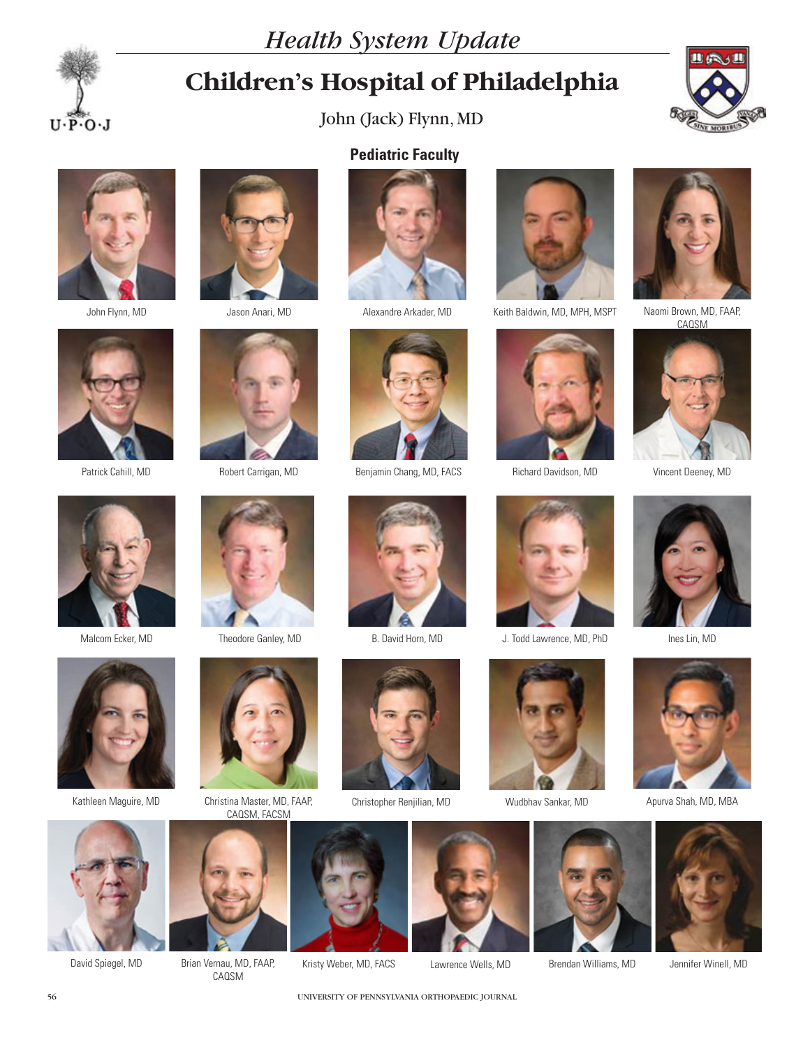



# **Children's Hospital of Philadelphia**

John (Jack) Flynn, MD

**Pediatric Faculty**











Patrick Cahill, MD



Malcom Ecker, MD Theodore Ganley, MD B. David Horn, MD







Brian Vernau, MD, FAAP, CAQSM





David Spiegel, MD Brian Vernau, MD, FAAP, Kristy Weber, MD, FACS Lawrence Wells, MD Brendan Williams, MD Jennifer Winell, MD Lawrence Wells, MD









J. Todd Lawrence, MD, PhD Ines Lin, MD





Brendan Williams, MD



Naomi Brown, MD, FAAP,<br>CAQSM







Wudbhav Sankar, MD Apurva Shah, MD, MBA



56 UNIVERSITY OF PENNSYLVANIA ORTHOPAEDIC JOURNAL











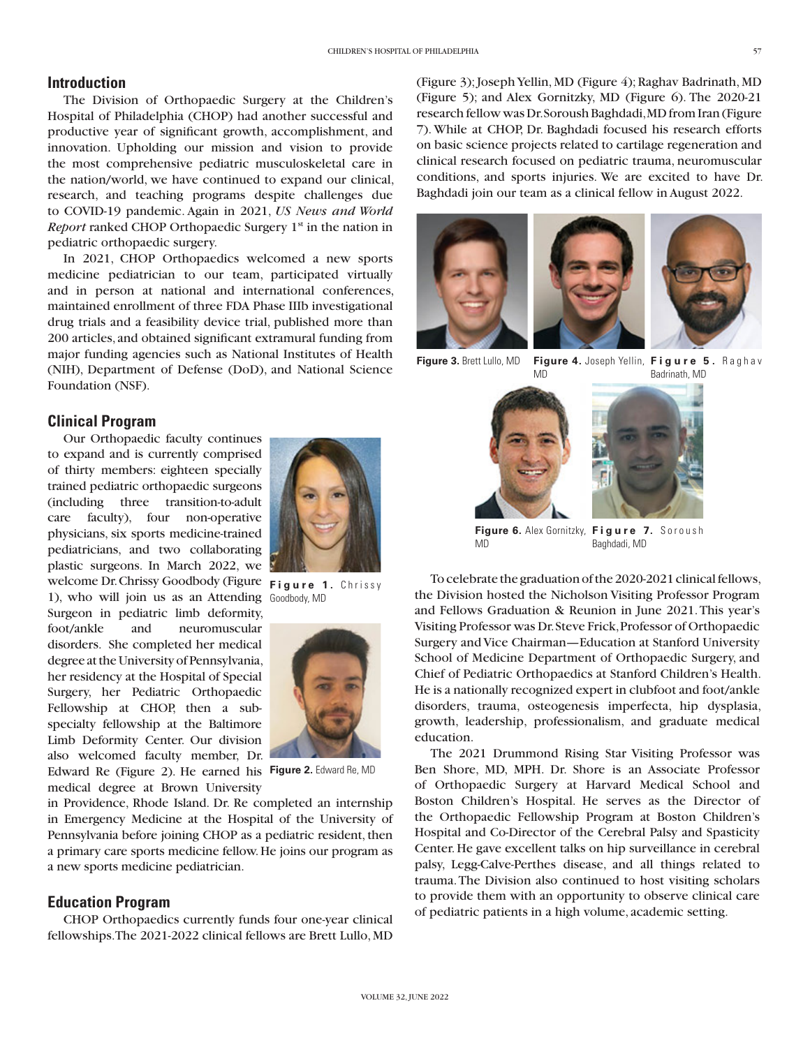## **Introduction**

The Division of Orthopaedic Surgery at the Children's Hospital of Philadelphia (CHOP) had another successful and productive year of significant growth, accomplishment, and innovation. Upholding our mission and vision to provide the most comprehensive pediatric musculoskeletal care in the nation/world, we have continued to expand our clinical, research, and teaching programs despite challenges due to COVID-19 pandemic. Again in 2021, *US News and World Report* ranked CHOP Orthopaedic Surgery 1<sup>st</sup> in the nation in pediatric orthopaedic surgery.

In 2021, CHOP Orthopaedics welcomed a new sports medicine pediatrician to our team, participated virtually and in person at national and international conferences, maintained enrollment of three FDA Phase IIIb investigational drug trials and a feasibility device trial, published more than 200 articles, and obtained significant extramural funding from major funding agencies such as National Institutes of Health (NIH), Department of Defense (DoD), and National Science Foundation (NSF).

# **Clinical Program**

Our Orthopaedic faculty continues to expand and is currently comprised of thirty members: eighteen specially trained pediatric orthopaedic surgeons (including three transition-to-adult care faculty), four non-operative physicians, six sports medicine-trained pediatricians, and two collaborating plastic surgeons. In March 2022, we welcome Dr. Chrissy Goodbody (Figure Figure 1. Chrissy 1), who will join us as an Attending Goodbody, MD Surgeon in pediatric limb deformity, foot/ankle and neuromuscular disorders. She completed her medical degree at the University of Pennsylvania, her residency at the Hospital of Special Surgery, her Pediatric Orthopaedic Fellowship at CHOP, then a subspecialty fellowship at the Baltimore Limb Deformity Center. Our division also welcomed faculty member, Dr.





Edward Re (Figure 2). He earned his **Figure 2.** Edward Re, MD medical degree at Brown University

in Providence, Rhode Island. Dr. Re completed an internship in Emergency Medicine at the Hospital of the University of Pennsylvania before joining CHOP as a pediatric resident, then a primary care sports medicine fellow. He joins our program as a new sports medicine pediatrician.

## **Education Program**

CHOP Orthopaedics currently funds four one-year clinical fellowships. The 2021-2022 clinical fellows are Brett Lullo, MD (Figure 3); Joseph Yellin, MD (Figure 4); Raghav Badrinath, MD (Figure 5); and Alex Gornitzky, MD (Figure 6). The 2020-21 research fellow was Dr. Soroush Baghdadi, MD from Iran (Figure 7). While at CHOP, Dr. Baghdadi focused his research efforts on basic science projects related to cartilage regeneration and clinical research focused on pediatric trauma, neuromuscular conditions, and sports injuries. We are excited to have Dr. Baghdadi join our team as a clinical fellow in August 2022.







**Figure 3.** Brett Lullo, MD **Figure 4.** Joseph Yellin, **Figure 5.** R a g h a v MD Badrinath, MD





Figure 6. Alex Gornitzky, Figure 7. Soroush MD Baghdadi, MD

To celebrate the graduation of the 2020-2021 clinical fellows, the Division hosted the Nicholson Visiting Professor Program and Fellows Graduation & Reunion in June 2021. This year's Visiting Professor was Dr. Steve Frick, Professor of Orthopaedic Surgery and Vice Chairman—Education at Stanford University School of Medicine Department of Orthopaedic Surgery, and Chief of Pediatric Orthopaedics at Stanford Children's Health. He is a nationally recognized expert in clubfoot and foot/ankle disorders, trauma, osteogenesis imperfecta, hip dysplasia, growth, leadership, professionalism, and graduate medical education.

The 2021 Drummond Rising Star Visiting Professor was Ben Shore, MD, MPH. Dr. Shore is an Associate Professor of Orthopaedic Surgery at Harvard Medical School and Boston Children's Hospital. He serves as the Director of the Orthopaedic Fellowship Program at Boston Children's Hospital and Co-Director of the Cerebral Palsy and Spasticity Center. He gave excellent talks on hip surveillance in cerebral palsy, Legg-Calve-Perthes disease, and all things related to trauma. The Division also continued to host visiting scholars to provide them with an opportunity to observe clinical care of pediatric patients in a high volume, academic setting.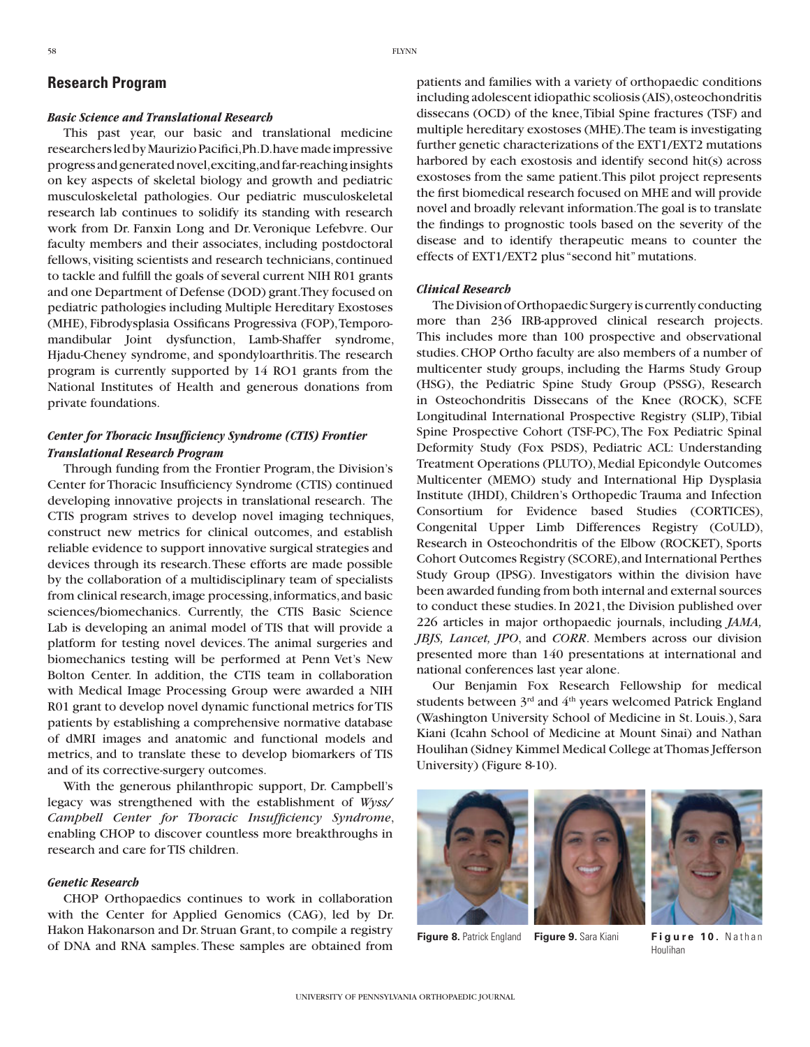## **Research Program**

#### *Basic Science and Translational Research*

This past year, our basic and translational medicine researchers led by Maurizio Pacifici, Ph.D. have made impressive progress and generated novel, exciting, and far-reaching insights on key aspects of skeletal biology and growth and pediatric musculoskeletal pathologies. Our pediatric musculoskeletal research lab continues to solidify its standing with research work from Dr. Fanxin Long and Dr. Veronique Lefebvre. Our faculty members and their associates, including postdoctoral fellows, visiting scientists and research technicians, continued to tackle and fulfill the goals of several current NIH R01 grants and one Department of Defense (DOD) grant. They focused on pediatric pathologies including Multiple Hereditary Exostoses (MHE), Fibrodysplasia Ossificans Progressiva (FOP), Temporomandibular Joint dysfunction, Lamb-Shaffer syndrome, Hjadu-Cheney syndrome, and spondyloarthritis. The research program is currently supported by 14 RO1 grants from the National Institutes of Health and generous donations from private foundations.

## *Center for Thoracic Insufficiency Syndrome (CTIS) Frontier Translational Research Program*

Through funding from the Frontier Program, the Division's Center for Thoracic Insufficiency Syndrome (CTIS) continued developing innovative projects in translational research. The CTIS program strives to develop novel imaging techniques, construct new metrics for clinical outcomes, and establish reliable evidence to support innovative surgical strategies and devices through its research. These efforts are made possible by the collaboration of a multidisciplinary team of specialists from clinical research, image processing, informatics, and basic sciences/biomechanics. Currently, the CTIS Basic Science Lab is developing an animal model of TIS that will provide a platform for testing novel devices. The animal surgeries and biomechanics testing will be performed at Penn Vet's New Bolton Center. In addition, the CTIS team in collaboration with Medical Image Processing Group were awarded a NIH R01 grant to develop novel dynamic functional metrics for TIS patients by establishing a comprehensive normative database of dMRI images and anatomic and functional models and metrics, and to translate these to develop biomarkers of TIS and of its corrective-surgery outcomes.

With the generous philanthropic support, Dr. Campbell's legacy was strengthened with the establishment of *Wyss/ Campbell Center for Thoracic Insufficiency Syndrome*, enabling CHOP to discover countless more breakthroughs in research and care for TIS children.

#### *Genetic Research*

CHOP Orthopaedics continues to work in collaboration with the Center for Applied Genomics (CAG), led by Dr. Hakon Hakonarson and Dr. Struan Grant, to compile a registry of DNA and RNA samples. These samples are obtained from

patients and families with a variety of orthopaedic conditions including adolescent idiopathic scoliosis (AIS), osteochondritis dissecans (OCD) of the knee, Tibial Spine fractures (TSF) and multiple hereditary exostoses (MHE). The team is investigating further genetic characterizations of the EXT1/EXT2 mutations harbored by each exostosis and identify second hit(s) across exostoses from the same patient. This pilot project represents the first biomedical research focused on MHE and will provide novel and broadly relevant information. The goal is to translate the findings to prognostic tools based on the severity of the disease and to identify therapeutic means to counter the effects of EXT1/EXT2 plus "second hit" mutations.

#### *Clinical Research*

The Division of Orthopaedic Surgery is currently conducting more than 236 IRB-approved clinical research projects. This includes more than 100 prospective and observational studies. CHOP Ortho faculty are also members of a number of multicenter study groups, including the Harms Study Group (HSG), the Pediatric Spine Study Group (PSSG), Research in Osteochondritis Dissecans of the Knee (ROCK), SCFE Longitudinal International Prospective Registry (SLIP), Tibial Spine Prospective Cohort (TSF-PC), The Fox Pediatric Spinal Deformity Study (Fox PSDS), Pediatric ACL: Understanding Treatment Operations (PLUTO), Medial Epicondyle Outcomes Multicenter (MEMO) study and International Hip Dysplasia Institute (IHDI), Children's Orthopedic Trauma and Infection Consortium for Evidence based Studies (CORTICES), Congenital Upper Limb Differences Registry (CoULD), Research in Osteochondritis of the Elbow (ROCKET), Sports Cohort Outcomes Registry (SCORE), and International Perthes Study Group (IPSG). Investigators within the division have been awarded funding from both internal and external sources to conduct these studies. In 2021, the Division published over 226 articles in major orthopaedic journals, including *JAMA, JBJS, Lancet, JPO*, and *CORR*. Members across our division presented more than 140 presentations at international and national conferences last year alone.

Our Benjamin Fox Research Fellowship for medical students between 3<sup>rd</sup> and 4<sup>th</sup> years welcomed Patrick England (Washington University School of Medicine in St. Louis.), Sara Kiani (Icahn School of Medicine at Mount Sinai) and Nathan Houlihan (Sidney Kimmel Medical College at Thomas Jefferson University) (Figure 8-10).





**Figure 8.** Patrick England **Figure 9.** Sara Kiani **Figure 10.** Nathan

Houlihan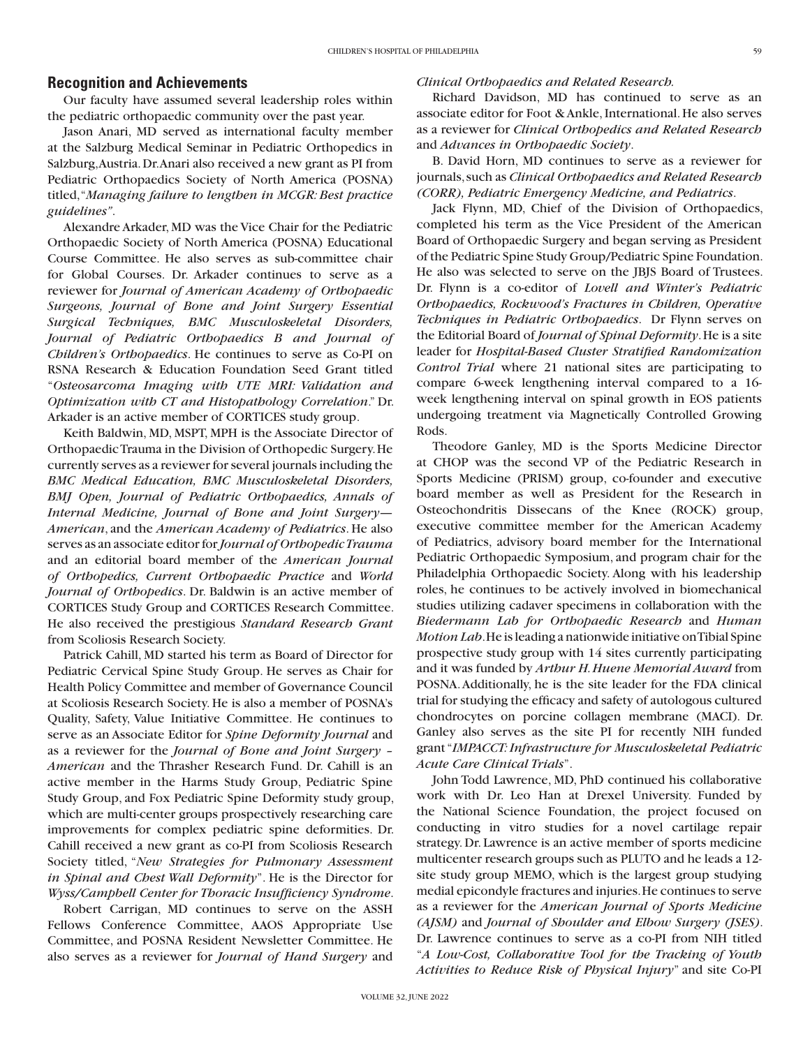### **Recognition and Achievements**

Our faculty have assumed several leadership roles within the pediatric orthopaedic community over the past year.

Jason Anari, MD served as international faculty member at the Salzburg Medical Seminar in Pediatric Orthopedics in Salzburg, Austria. Dr. Anari also received a new grant as PI from Pediatric Orthopaedics Society of North America (POSNA) titled, "*Managing failure to lengthen in MCGR: Best practice guidelines"*.

Alexandre Arkader, MD was the Vice Chair for the Pediatric Orthopaedic Society of North America (POSNA) Educational Course Committee. He also serves as sub-committee chair for Global Courses. Dr. Arkader continues to serve as a reviewer for *Journal of American Academy of Orthopaedic Surgeons, Journal of Bone and Joint Surgery Essential Surgical Techniques, BMC Musculoskeletal Disorders, Journal of Pediatric Orthopaedics B and Journal of Children's Orthopaedics*. He continues to serve as Co-PI on RSNA Research & Education Foundation Seed Grant titled "*Osteosarcoma Imaging with UTE MRI: Validation and Optimization with CT and Histopathology Correlation*." Dr. Arkader is an active member of CORTICES study group.

Keith Baldwin, MD, MSPT, MPH is the Associate Director of Orthopaedic Trauma in the Division of Orthopedic Surgery. He currently serves as a reviewer for several journals including the *BMC Medical Education, BMC Musculoskeletal Disorders, BMJ Open, Journal of Pediatric Orthopaedics, Annals of Internal Medicine, Journal of Bone and Joint Surgery*— *American*, and the *American Academy of Pediatrics*. He also serves as an associate editor for *Journal of Orthopedic Trauma* and an editorial board member of the *American Journal of Orthopedics, Current Orthopaedic Practice* and *World Journal of Orthopedics*. Dr. Baldwin is an active member of CORTICES Study Group and CORTICES Research Committee. He also received the prestigious *Standard Research Grant* from Scoliosis Research Society.

Patrick Cahill, MD started his term as Board of Director for Pediatric Cervical Spine Study Group. He serves as Chair for Health Policy Committee and member of Governance Council at Scoliosis Research Society. He is also a member of POSNA's Quality, Safety, Value Initiative Committee. He continues to serve as an Associate Editor for *Spine Deformity Journal* and as a reviewer for the *Journal of Bone and Joint Surgery – American* and the Thrasher Research Fund. Dr. Cahill is an active member in the Harms Study Group, Pediatric Spine Study Group, and Fox Pediatric Spine Deformity study group, which are multi-center groups prospectively researching care improvements for complex pediatric spine deformities. Dr. Cahill received a new grant as co-PI from Scoliosis Research Society titled, "*New Strategies for Pulmonary Assessment in Spinal and Chest Wall Deformity*". He is the Director for *Wyss/Campbell Center for Thoracic Insufficiency Syndrome*.

Robert Carrigan, MD continues to serve on the ASSH Fellows Conference Committee, AAOS Appropriate Use Committee, and POSNA Resident Newsletter Committee. He also serves as a reviewer for *Journal of Hand Surgery* and

#### *Clinical Orthopaedics and Related Research.*

Richard Davidson, MD has continued to serve as an associate editor for Foot & Ankle, International. He also serves as a reviewer for *Clinical Orthopedics and Related Research* and *Advances in Orthopaedic Society*.

B. David Horn, MD continues to serve as a reviewer for journals, such as *Clinical Orthopaedics and Related Research (CORR), Pediatric Emergency Medicine, and Pediatrics*.

Jack Flynn, MD, Chief of the Division of Orthopaedics, completed his term as the Vice President of the American Board of Orthopaedic Surgery and began serving as President of the Pediatric Spine Study Group/Pediatric Spine Foundation. He also was selected to serve on the JBJS Board of Trustees. Dr. Flynn is a co-editor of *Lovell and Winter's Pediatric Orthopaedics, Rockwood's Fractures in Children, Operative Techniques in Pediatric Orthopaedics*. Dr Flynn serves on the Editorial Board of *Journal of Spinal Deformity*. He is a site leader for *Hospital-Based Cluster Stratified Randomization Control Trial* where 21 national sites are participating to compare 6-week lengthening interval compared to a 16 week lengthening interval on spinal growth in EOS patients undergoing treatment via Magnetically Controlled Growing Rods.

Theodore Ganley, MD is the Sports Medicine Director at CHOP was the second VP of the Pediatric Research in Sports Medicine (PRISM) group, co-founder and executive board member as well as President for the Research in Osteochondritis Dissecans of the Knee (ROCK) group, executive committee member for the American Academy of Pediatrics, advisory board member for the International Pediatric Orthopaedic Symposium, and program chair for the Philadelphia Orthopaedic Society. Along with his leadership roles, he continues to be actively involved in biomechanical studies utilizing cadaver specimens in collaboration with the *Biedermann Lab for Orthopaedic Research* and *Human Motion Lab*. He is leading a nationwide initiative on Tibial Spine prospective study group with 14 sites currently participating and it was funded by *Arthur H. Huene Memorial Award* from POSNA. Additionally, he is the site leader for the FDA clinical trial for studying the efficacy and safety of autologous cultured chondrocytes on porcine collagen membrane (MACI). Dr. Ganley also serves as the site PI for recently NIH funded grant "*IMPACCT: Infrastructure for Musculoskeletal Pediatric Acute Care Clinical Trials*".

John Todd Lawrence, MD, PhD continued his collaborative work with Dr. Leo Han at Drexel University. Funded by the National Science Foundation, the project focused on conducting in vitro studies for a novel cartilage repair strategy. Dr. Lawrence is an active member of sports medicine multicenter research groups such as PLUTO and he leads a 12 site study group MEMO, which is the largest group studying medial epicondyle fractures and injuries. He continues to serve as a reviewer for the *American Journal of Sports Medicine (AJSM)* and *Journal of Shoulder and Elbow Surgery (JSES)*. Dr. Lawrence continues to serve as a co-PI from NIH titled "*A Low-Cost, Collaborative Tool for the Tracking of Youth Activities to Reduce Risk of Physical Injury*" and site Co-PI